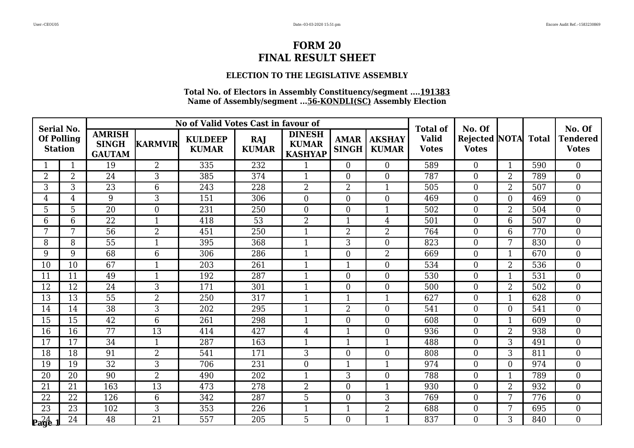## **ELECTION TO THE LEGISLATIVE ASSEMBLY**

| <b>Serial No.</b> |                                     |                                                |                  | No of Valid Votes Cast in favour of |                            |                                                 |                             |                               | <b>Total of</b>              | No. Of                              |                |     | No. Of                          |
|-------------------|-------------------------------------|------------------------------------------------|------------------|-------------------------------------|----------------------------|-------------------------------------------------|-----------------------------|-------------------------------|------------------------------|-------------------------------------|----------------|-----|---------------------------------|
|                   | <b>Of Polling</b><br><b>Station</b> | <b>AMRISH</b><br><b>SINGH</b><br><b>GAUTAM</b> | <b>KARMVIR</b>   | <b>KULDEEP</b><br><b>KUMAR</b>      | <b>RAJ</b><br><b>KUMAR</b> | <b>DINESH</b><br><b>KUMAR</b><br><b>KASHYAP</b> | <b>AMAR</b><br><b>SINGH</b> | <b>AKSHAY</b><br><b>KUMAR</b> | <b>Valid</b><br><b>Votes</b> | Rejected NOTA Total<br><b>Votes</b> |                |     | <b>Tendered</b><br><b>Votes</b> |
|                   | 1                                   | 19                                             | $\overline{2}$   | 335                                 | 232                        | $\mathbf{1}$                                    | $\theta$                    | $\overline{0}$                | 589                          | $\overline{0}$                      | $\mathbf{1}$   | 590 | $\theta$                        |
| 2                 | $\overline{2}$                      | 24                                             | 3                | 385                                 | 374                        |                                                 | $\overline{0}$              | $\overline{0}$                | 787                          | $\boldsymbol{0}$                    | $\overline{2}$ | 789 | $\overline{0}$                  |
| 3                 | 3                                   | $\overline{23}$                                | $\overline{6}$   | 243                                 | 228                        | $\overline{2}$                                  | $\overline{2}$              | $\mathbf{1}$                  | 505                          | $\boldsymbol{0}$                    | $\overline{2}$ | 507 | $\mathbf{0}$                    |
| 4                 | $\overline{4}$                      | 9                                              | 3                | 151                                 | 306                        | $\boldsymbol{0}$                                | $\overline{0}$              | $\overline{0}$                | 469                          | $\boldsymbol{0}$                    | $\theta$       | 469 | $\mathbf{0}$                    |
| 5                 | 5                                   | $\overline{20}$                                | $\boldsymbol{0}$ | 231                                 | 250                        | $\overline{0}$                                  | $\overline{0}$              | $\mathbf{1}$                  | 502                          | $\boldsymbol{0}$                    | $\overline{2}$ | 504 | $\overline{0}$                  |
| 6                 | 6                                   | $\overline{22}$                                | $\mathbf{1}$     | 418                                 | $\overline{53}$            | $\overline{2}$                                  | $\mathbf{1}$                | $\overline{4}$                | 501                          | $\boldsymbol{0}$                    | 6              | 507 | $\overline{0}$                  |
| 7                 | 7                                   | 56                                             | $\overline{2}$   | 451                                 | 250                        | $\mathbf{1}$                                    | $\overline{2}$              | $\overline{2}$                | 764                          | $\boldsymbol{0}$                    | 6              | 770 | $\theta$                        |
| 8                 | 8                                   | 55                                             | $\mathbf{1}$     | 395                                 | 368                        | 1                                               | 3                           | $\mathbf{0}$                  | 823                          | $\boldsymbol{0}$                    | 7              | 830 | $\mathbf{0}$                    |
| 9                 | 9                                   | 68                                             | 6                | 306                                 | 286                        | $\mathbf{1}$                                    | $\boldsymbol{0}$            | $\overline{2}$                | 669                          | $\boldsymbol{0}$                    | 1              | 670 | $\overline{0}$                  |
| 10                | 10                                  | 67                                             | $\mathbf{1}$     | 203                                 | 261                        | $\mathbf{1}$                                    | $\mathbf{1}$                | $\overline{0}$                | 534                          | $\overline{0}$                      | $\overline{2}$ | 536 | $\theta$                        |
| 11                | 11                                  | 49                                             | 1                | 192                                 | 287                        | 1                                               | $\overline{0}$              | $\overline{0}$                | 530                          | $\boldsymbol{0}$                    |                | 531 | $\overline{0}$                  |
| 12                | 12                                  | 24                                             | 3                | 171                                 | 301                        |                                                 | $\overline{0}$              | $\mathbf{0}$                  | 500                          | $\boldsymbol{0}$                    | $\overline{2}$ | 502 | $\overline{0}$                  |
| 13                | 13                                  | 55                                             | $\overline{2}$   | 250                                 | 317                        | $\mathbf{1}$                                    | $\mathbf{1}$                | $\mathbf{1}$                  | 627                          | $\boldsymbol{0}$                    |                | 628 | $\mathbf{0}$                    |
| 14                | 14                                  | 38                                             | 3                | 202                                 | 295                        | $\mathbf{1}$                                    | $\overline{2}$              | $\overline{0}$                | 541                          | $\boldsymbol{0}$                    | $\overline{0}$ | 541 | $\overline{0}$                  |
| 15                | 15                                  | 42                                             | 6                | 261                                 | 298                        |                                                 | $\overline{0}$              | $\overline{0}$                | 608                          | $\overline{0}$                      | $\mathbf 1$    | 609 | $\theta$                        |
| 16                | 16                                  | 77                                             | 13               | 414                                 | 427                        | $\overline{4}$                                  | $\mathbf{1}$                | $\mathbf{0}$                  | 936                          | $\boldsymbol{0}$                    | $\overline{2}$ | 938 | $\mathbf{0}$                    |
| 17                | 17                                  | 34                                             | $\mathbf{1}$     | 287                                 | 163                        | $\mathbf{1}$                                    | $\mathbf{1}$                | $\mathbf{1}$                  | 488                          | $\boldsymbol{0}$                    | 3              | 491 | $\overline{0}$                  |
| 18                | 18                                  | 91                                             | $\overline{2}$   | 541                                 | 171                        | $\overline{3}$                                  | $\overline{0}$              | $\mathbf{0}$                  | 808                          | $\boldsymbol{0}$                    | 3              | 811 | $\overline{0}$                  |
| 19                | 19                                  | 32                                             | 3                | 706                                 | 231                        | $\overline{0}$                                  | $\mathbf{1}$                | $\mathbf{1}$                  | 974                          | $\boldsymbol{0}$                    | $\theta$       | 974 | $\overline{0}$                  |
| 20                | 20                                  | 90                                             | $\overline{2}$   | 490                                 | 202                        | $\mathbf{1}$                                    | 3                           | $\mathbf{0}$                  | 788                          | $\boldsymbol{0}$                    | $\mathbf 1$    | 789 | $\overline{0}$                  |
| 21                | 21                                  | 163                                            | 13               | 473                                 | 278                        | $\overline{2}$                                  | $\overline{0}$              | $\mathbf{1}$                  | 930                          | $\overline{0}$                      | $\overline{2}$ | 932 | $\theta$                        |
| 22                | 22                                  | 126                                            | 6                | 342                                 | 287                        | 5                                               | $\overline{0}$              | 3                             | 769                          | $\boldsymbol{0}$                    | 7              | 776 | $\mathbf{0}$                    |
| 23                | 23                                  | 102                                            | 3                | 353                                 | 226                        | $\mathbf{1}$                                    | $\mathbf{1}$                | $\overline{2}$                | 688                          | $\boldsymbol{0}$                    | 7              | 695 | $\mathbf{0}$                    |
| $P_4$             | 24                                  | 48                                             | $\overline{21}$  | 557                                 | 205                        | 5                                               | $\theta$                    | $\mathbf{1}$                  | 837                          | $\theta$                            | 3              | 840 | $\Omega$                        |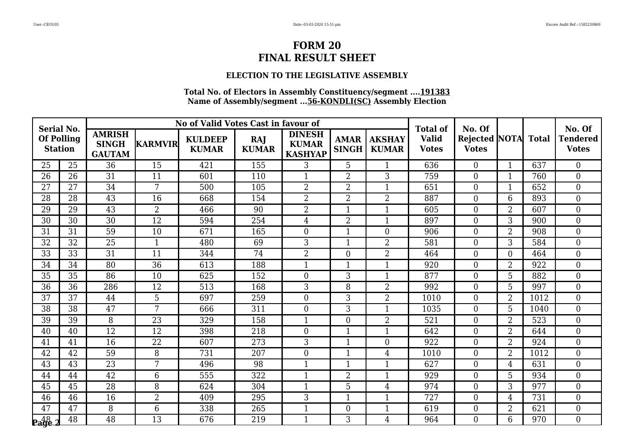## **ELECTION TO THE LEGISLATIVE ASSEMBLY**

| <b>Serial No.</b>        |                                     |                                                |                 | No of Valid Votes Cast in favour of |                     |                                                 |                             |                               | <b>Total of</b>              | No. Of                               |                |              | No. Of                          |
|--------------------------|-------------------------------------|------------------------------------------------|-----------------|-------------------------------------|---------------------|-------------------------------------------------|-----------------------------|-------------------------------|------------------------------|--------------------------------------|----------------|--------------|---------------------------------|
|                          | <b>Of Polling</b><br><b>Station</b> | <b>AMRISH</b><br><b>SINGH</b><br><b>GAUTAM</b> | <b>KARMVIR</b>  | <b>KULDEEP</b><br><b>KUMAR</b>      | RAJ<br><b>KUMAR</b> | <b>DINESH</b><br><b>KUMAR</b><br><b>KASHYAP</b> | <b>AMAR</b><br><b>SINGH</b> | <b>AKSHAY</b><br><b>KUMAR</b> | <b>Valid</b><br><b>Votes</b> | <b>Rejected NOTA</b><br><b>Votes</b> |                | <b>Total</b> | <b>Tendered</b><br><b>Votes</b> |
| 25                       | 25                                  | 36                                             | 15              | 421                                 | 155                 | 3                                               | 5                           | $\mathbf{1}$                  | 636                          | $\overline{0}$                       | $\mathbf{1}$   | 637          | $\theta$                        |
| 26                       | 26                                  | 31                                             | 11              | 601                                 | 110                 |                                                 | $\overline{2}$              | 3                             | 759                          | $\overline{0}$                       | 1              | 760          | $\overline{0}$                  |
| 27                       | 27                                  | 34                                             | $\overline{7}$  | 500                                 | 105                 | $\overline{2}$                                  | $\overline{2}$              | $\mathbf{1}$                  | 651                          | $\overline{0}$                       | $\mathbf{1}$   | 652          | $\boldsymbol{0}$                |
| 28                       | 28                                  | 43                                             | 16              | 668                                 | 154                 | $\overline{2}$                                  | $\overline{2}$              | 2                             | 887                          | $\boldsymbol{0}$                     | 6              | 893          | $\boldsymbol{0}$                |
| 29                       | 29                                  | $\overline{43}$                                | $\overline{2}$  | 466                                 | 90                  | $\overline{2}$                                  | $\mathbf{1}$                | $\mathbf{1}$                  | 605                          | $\overline{0}$                       | $\overline{2}$ | 607          | $\overline{0}$                  |
| 30                       | 30                                  | 30                                             | 12              | 594                                 | 254                 | $\overline{4}$                                  | $\overline{2}$              | $\mathbf{1}$                  | 897                          | $\overline{0}$                       | 3              | 900          | $\mathbf{0}$                    |
| 31                       | 31                                  | 59                                             | 10              | 671                                 | 165                 | $\theta$                                        | $\mathbf{1}$                | $\theta$                      | 906                          | $\overline{0}$                       | $\overline{2}$ | 908          | $\overline{0}$                  |
| 32                       | 32                                  | 25                                             | $\mathbf{1}$    | 480                                 | 69                  | 3                                               | $\mathbf{1}$                | $\overline{2}$                | 581                          | $\overline{0}$                       | 3              | 584          | $\mathbf{0}$                    |
| 33                       | 33                                  | 31                                             | 11              | 344                                 | 74                  | $\overline{2}$                                  | $\boldsymbol{0}$            | $\overline{2}$                | 464                          | $\overline{0}$                       | $\overline{0}$ | 464          | $\mathbf{0}$                    |
| 34                       | 34                                  | 80                                             | 36              | 613                                 | 188                 | $\mathbf{1}$                                    | $\mathbf{1}$                | $\mathbf{1}$                  | 920                          | $\overline{0}$                       | $\overline{2}$ | 922          | $\overline{0}$                  |
| 35                       | 35                                  | 86                                             | 10              | 625                                 | 152                 | $\theta$                                        | 3                           | $\mathbf 1$                   | 877                          | $\overline{0}$                       | 5              | 882          | $\boldsymbol{0}$                |
| 36                       | 36                                  | 286                                            | 12              | 513                                 | 168                 | 3                                               | 8                           | $\overline{2}$                | 992                          | $\overline{0}$                       | 5              | 997          | $\overline{0}$                  |
| 37                       | 37                                  | 44                                             | 5               | 697                                 | 259                 | $\overline{0}$                                  | 3                           | $\overline{2}$                | 1010                         | $\overline{0}$                       | $\overline{2}$ | 1012         | $\boldsymbol{0}$                |
| 38                       | 38                                  | 47                                             | 7               | 666                                 | 311                 | $\overline{0}$                                  | 3                           | $\mathbf{1}$                  | 1035                         | $\overline{0}$                       | 5              | 1040         | $\overline{0}$                  |
| 39                       | 39                                  | 8                                              | $\overline{23}$ | 329                                 | 158                 |                                                 | $\theta$                    | $\overline{2}$                | 521                          | $\overline{0}$                       | $\overline{2}$ | 523          | $\overline{0}$                  |
| 40                       | 40                                  | 12                                             | 12              | 398                                 | 218                 | $\overline{0}$                                  | $\mathbf{1}$                | $\mathbf{1}$                  | 642                          | $\overline{0}$                       | $\overline{2}$ | 644          | $\mathbf{0}$                    |
| 41                       | 41                                  | 16                                             | 22              | 607                                 | 273                 | 3                                               | $\mathbf{1}$                | $\boldsymbol{0}$              | 922                          | $\overline{0}$                       | $\overline{2}$ | 924          | $\mathbf{0}$                    |
| 42                       | 42                                  | 59                                             | 8               | 731                                 | 207                 | $\overline{0}$                                  | $\overline{1}$              | $\overline{4}$                | 1010                         | $\overline{0}$                       | $\overline{2}$ | 1012         | $\overline{0}$                  |
| 43                       | 43                                  | 23                                             | 7               | 496                                 | 98                  |                                                 | $\mathbf{1}$                | $\mathbf{1}$                  | 627                          | $\overline{0}$                       | 4              | 631          | $\overline{0}$                  |
| 44                       | 44                                  | 42                                             | 6               | 555                                 | 322                 | $\mathbf{1}$                                    | $\overline{2}$              | $\mathbf{1}$                  | 929                          | $\overline{0}$                       | 5              | 934          | $\boldsymbol{0}$                |
| 45                       | 45                                  | 28                                             | 8               | 624                                 | 304                 | $\mathbf{1}$                                    | 5                           | $\overline{4}$                | 974                          | $\overline{0}$                       | 3              | 977          | $\overline{0}$                  |
| 46                       | 46                                  | 16                                             | 2               | 409                                 | 295                 | 3                                               | $\mathbf 1$                 | $\mathbf{1}$                  | 727                          | $\overline{0}$                       | 4              | 731          | $\boldsymbol{0}$                |
| 47                       | 47                                  | 8                                              | 6               | 338                                 | 265                 | $\mathbf{1}$                                    | $\overline{0}$              | $\mathbf{1}$                  | 619                          | $\overline{0}$                       | $\overline{2}$ | 621          | $\mathbf{0}$                    |
| $P_4$ <sup>48</sup> $_2$ | 48                                  | 48                                             | 13              | 676                                 | 219                 | $\mathbf{1}$                                    | 3                           | $\overline{4}$                | 964                          | $\overline{0}$                       | 6              | 970          | $\overline{0}$                  |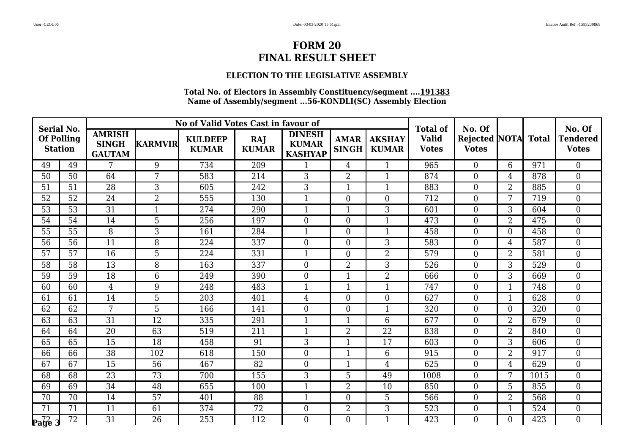## **ELECTION TO THE LEGISLATIVE ASSEMBLY**

| <b>Serial No.</b>            |                 |                                                |                | No of Valid Votes Cast in favour of |                     |                                                 |                             |                               | <b>Total of</b>              | No. Of                               |                |              | No. Of                          |
|------------------------------|-----------------|------------------------------------------------|----------------|-------------------------------------|---------------------|-------------------------------------------------|-----------------------------|-------------------------------|------------------------------|--------------------------------------|----------------|--------------|---------------------------------|
| <b>Of Polling</b>            | <b>Station</b>  | <b>AMRISH</b><br><b>SINGH</b><br><b>GAUTAM</b> | <b>KARMVIR</b> | <b>KULDEEP</b><br><b>KUMAR</b>      | RAJ<br><b>KUMAR</b> | <b>DINESH</b><br><b>KUMAR</b><br><b>KASHYAP</b> | <b>AMAR</b><br><b>SINGH</b> | <b>AKSHAY</b><br><b>KUMAR</b> | <b>Valid</b><br><b>Votes</b> | <b>Rejected NOTA</b><br><b>Votes</b> |                | <b>Total</b> | <b>Tendered</b><br><b>Votes</b> |
| 49                           | 49              | 7                                              | 9              | 734                                 | 209                 | 1                                               | $\overline{4}$              | $\mathbf{1}$                  | 965                          | $\overline{0}$                       | 6              | 971          | $\theta$                        |
| 50                           | 50              | 64                                             | 7              | 583                                 | 214                 | 3                                               | $\overline{2}$              | $\mathbf{1}$                  | 874                          | $\overline{0}$                       | $\overline{4}$ | 878          | $\overline{0}$                  |
| 51                           | 51              | 28                                             | 3              | 605                                 | 242                 | 3                                               | $\mathbf{1}$                | $\mathbf{1}$                  | 883                          | $\overline{0}$                       | $\overline{2}$ | 885          | $\boldsymbol{0}$                |
| 52                           | 52              | 24                                             | $\overline{2}$ | 555                                 | 130                 | $\mathbf{1}$                                    | $\overline{0}$              | $\overline{0}$                | 712                          | $\boldsymbol{0}$                     | 7              | 719          | $\boldsymbol{0}$                |
| 53                           | $\overline{53}$ | $\overline{31}$                                | $\mathbf{1}$   | 274                                 | 290                 |                                                 | $\mathbf{1}$                | 3                             | 601                          | $\overline{0}$                       | 3              | 604          | $\overline{0}$                  |
| 54                           | 54              | 14                                             | 5              | 256                                 | 197                 | $\overline{0}$                                  | $\overline{0}$              | $\mathbf{1}$                  | 473                          | $\overline{0}$                       | $\overline{2}$ | 475          | $\mathbf{0}$                    |
| 55                           | 55              | 8                                              | 3              | 161                                 | 284                 | $\mathbf{1}$                                    | $\theta$                    | $\mathbf{1}$                  | 458                          | $\overline{0}$                       | $\overline{0}$ | 458          | $\overline{0}$                  |
| 56                           | 56              | 11                                             | 8              | 224                                 | 337                 | $\overline{0}$                                  | $\overline{0}$              | 3                             | 583                          | $\overline{0}$                       | 4              | 587          | $\mathbf{0}$                    |
| 57                           | 57              | 16                                             | $\overline{5}$ | 224                                 | 331                 |                                                 | $\boldsymbol{0}$            | $\overline{2}$                | 579                          | $\overline{0}$                       | $\overline{2}$ | 581          | $\mathbf{0}$                    |
| 58                           | 58              | 13                                             | 8              | 163                                 | 337                 | $\theta$                                        | $\overline{2}$              | 3                             | 526                          | $\overline{0}$                       | 3              | 529          | $\overline{0}$                  |
| 59                           | 59              | 18                                             | 6              | 249                                 | 390                 | $\overline{0}$                                  | $\mathbf{1}$                | $\overline{2}$                | 666                          | $\overline{0}$                       | 3              | 669          | $\boldsymbol{0}$                |
| 60                           | 60              | $\overline{4}$                                 | 9              | 248                                 | 483                 |                                                 | $\mathbf{1}$                | $\mathbf{1}$                  | 747                          | $\overline{0}$                       | 1              | 748          | $\overline{0}$                  |
| 61                           | 61              | 14                                             | 5              | 203                                 | 401                 | $\overline{4}$                                  | $\overline{0}$              | $\boldsymbol{0}$              | 627                          | $\boldsymbol{0}$                     | $\mathbf{1}$   | 628          | $\boldsymbol{0}$                |
| 62                           | 62              | 7                                              | 5              | 166                                 | 141                 | $\overline{0}$                                  | $\overline{0}$              | $\mathbf{1}$                  | 320                          | $\overline{0}$                       | $\overline{0}$ | 320          | $\overline{0}$                  |
| 63                           | 63              | $\overline{31}$                                | 12             | 335                                 | 291                 |                                                 | $\mathbf{1}$                | 6                             | 677                          | $\overline{0}$                       | $\overline{2}$ | 679          | $\overline{0}$                  |
| 64                           | 64              | 20                                             | 63             | 519                                 | 211                 | $\mathbf{1}$                                    | $\overline{2}$              | 22                            | 838                          | $\overline{0}$                       | $\overline{2}$ | 840          | $\mathbf{0}$                    |
| 65                           | 65              | 15                                             | 18             | 458                                 | 91                  | 3                                               | $\mathbf{1}$                | 17                            | 603                          | $\overline{0}$                       | 3              | 606          | $\mathbf{0}$                    |
| 66                           | 66              | $\overline{38}$                                | 102            | 618                                 | 150                 | $\overline{0}$                                  | $\overline{1}$              | 6                             | 915                          | $\overline{0}$                       | $\overline{2}$ | 917          | $\overline{0}$                  |
| 67                           | 67              | 15                                             | 56             | 467                                 | 82                  | $\overline{0}$                                  | $\mathbf{1}$                | $\overline{4}$                | 625                          | $\overline{0}$                       | 4              | 629          | $\overline{0}$                  |
| 68                           | 68              | 23                                             | 73             | 700                                 | 155                 | 3                                               | 5                           | 49                            | 1008                         | $\overline{0}$                       | 7              | 1015         | $\boldsymbol{0}$                |
| 69                           | 69              | 34                                             | 48             | 655                                 | 100                 | $\mathbf{1}$                                    | $\overline{2}$              | 10                            | 850                          | $\overline{0}$                       | 5              | 855          | $\overline{0}$                  |
| 70                           | 70              | 14                                             | 57             | 401                                 | 88                  |                                                 | $\overline{0}$              | 5                             | 566                          | $\overline{0}$                       | $\overline{2}$ | 568          | $\mathbf{0}$                    |
| 71                           | 71              | 11                                             | 61             | 374                                 | 72                  | $\boldsymbol{0}$                                | $\overline{2}$              | 3                             | 523                          | $\overline{0}$                       | $\mathbf{1}$   | 524          | $\mathbf{0}$                    |
| $\mathbf{p}_\mathbf{a}$ ge 3 | $\overline{72}$ | $\overline{31}$                                | 26             | 253                                 | 112                 | $\Omega$                                        | $\overline{0}$              | $\mathbf{1}$                  | 423                          | $\overline{0}$                       | $\Omega$       | 423          | $\theta$                        |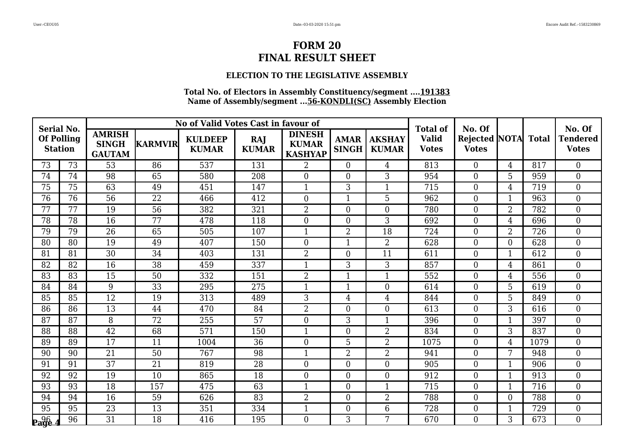## **ELECTION TO THE LEGISLATIVE ASSEMBLY**

| <b>Serial No.</b>                   |                 |                                                |                 | No of Valid Votes Cast in favour of |                            |                                                 |                                                              |                | <b>Total of</b>              | No. Of                              |                |      | No. Of                          |
|-------------------------------------|-----------------|------------------------------------------------|-----------------|-------------------------------------|----------------------------|-------------------------------------------------|--------------------------------------------------------------|----------------|------------------------------|-------------------------------------|----------------|------|---------------------------------|
| <b>Of Polling</b><br><b>Station</b> |                 | <b>AMRISH</b><br><b>SINGH</b><br><b>GAUTAM</b> | <b>KARMVIR</b>  | <b>KULDEEP</b><br><b>KUMAR</b>      | <b>RAJ</b><br><b>KUMAR</b> | <b>DINESH</b><br><b>KUMAR</b><br><b>KASHYAP</b> | <b>AKSHAY</b><br><b>AMAR</b><br><b>SINGH</b><br><b>KUMAR</b> |                | <b>Valid</b><br><b>Votes</b> | Rejected NOTA Total<br><b>Votes</b> |                |      | <b>Tendered</b><br><b>Votes</b> |
| 73                                  | 73              | 53                                             | 86              | 537                                 | 131                        | $\overline{2}$                                  | $\theta$                                                     | $\overline{4}$ | 813                          | $\overline{0}$                      | $\overline{4}$ | 817  | $\theta$                        |
| 74                                  | 74              | 98                                             | 65              | 580                                 | 208                        | $\overline{0}$                                  | $\overline{0}$                                               | 3              | 954                          | $\overline{0}$                      | 5              | 959  | $\overline{0}$                  |
| 75                                  | 75              | 63                                             | 49              | 451                                 | 147                        | $\mathbf{1}$                                    | 3                                                            | $\mathbf{1}$   | 715                          | $\overline{0}$                      | $\overline{4}$ | 719  | $\mathbf{0}$                    |
| 76                                  | 76              | $\overline{56}$                                | 22              | 466                                 | 412                        | $\overline{0}$                                  | $\mathbf{1}$                                                 | 5              | 962                          | $\boldsymbol{0}$                    |                | 963  | $\overline{0}$                  |
| 77                                  | 77              | 19                                             | 56              | 382                                 | 321                        | $\overline{2}$                                  | $\overline{0}$                                               | $\overline{0}$ | 780                          | $\boldsymbol{0}$                    | $\overline{2}$ | 782  | $\overline{0}$                  |
| 78                                  | 78              | 16                                             | 77              | 478                                 | 118                        | $\overline{0}$                                  | $\overline{0}$                                               | $\overline{3}$ | 692                          | $\overline{0}$                      | $\overline{4}$ | 696  | $\overline{0}$                  |
| 79                                  | 79              | 26                                             | 65              | 505                                 | 107                        | $\mathbf{1}$                                    | $\overline{2}$                                               | 18             | 724                          | $\boldsymbol{0}$                    | $\overline{2}$ | 726  | $\theta$                        |
| 80                                  | 80              | 19                                             | 49              | 407                                 | 150                        | $\overline{0}$                                  | $\mathbf{1}$                                                 | $\overline{2}$ | 628                          | $\boldsymbol{0}$                    | $\theta$       | 628  | $\overline{0}$                  |
| 81                                  | 81              | $\overline{30}$                                | 34              | 403                                 | 131                        | $\overline{2}$                                  | $\boldsymbol{0}$                                             | 11             | 611                          | $\boldsymbol{0}$                    | 1              | 612  | $\overline{0}$                  |
| 82                                  | 82              | 16                                             | 38              | 459                                 | 337                        | $\mathbf{1}$                                    | 3                                                            | 3              | 857                          | $\boldsymbol{0}$                    | 4              | 861  | $\theta$                        |
| 83                                  | 83              | 15                                             | 50              | 332                                 | 151                        | $\overline{2}$                                  | $\overline{1}$                                               | $\mathbf{1}$   | 552                          | $\boldsymbol{0}$                    | $\overline{4}$ | 556  | $\overline{0}$                  |
| 84                                  | 84              | 9                                              | 33              | 295                                 | 275                        | $\mathbf{1}$                                    | $\mathbf{1}$                                                 | $\overline{0}$ | 614                          | $\boldsymbol{0}$                    | 5              | 619  | $\overline{0}$                  |
| 85                                  | 85              | 12                                             | 19              | 313                                 | 489                        | 3                                               | $\overline{4}$                                               | $\overline{4}$ | 844                          | $\overline{0}$                      | 5              | 849  | $\theta$                        |
| 86                                  | 86              | 13                                             | 44              | 470                                 | 84                         | $\overline{2}$                                  | $\overline{0}$                                               | $\overline{0}$ | 613                          | $\boldsymbol{0}$                    | 3              | 616  | $\overline{0}$                  |
| 87                                  | 87              | 8                                              | 72              | 255                                 | 57                         | $\overline{0}$                                  | 3                                                            | $\mathbf{1}$   | 396                          | $\boldsymbol{0}$                    |                | 397  | $\theta$                        |
| 88                                  | 88              | 42                                             | 68              | 571                                 | 150                        | $\mathbf{1}$                                    | $\overline{0}$                                               | $\overline{2}$ | 834                          | $\boldsymbol{0}$                    | 3              | 837  | $\mathbf{0}$                    |
| 89                                  | 89              | 17                                             | 11              | 1004                                | 36                         | $\boldsymbol{0}$                                | 5                                                            | $\overline{2}$ | 1075                         | $\boldsymbol{0}$                    | $\overline{4}$ | 1079 | $\overline{0}$                  |
| 90                                  | 90              | $\overline{21}$                                | $\overline{50}$ | 767                                 | 98                         | $\mathbf{1}$                                    | $\overline{2}$                                               | $\overline{2}$ | 941                          | $\overline{0}$                      | 7              | 948  | $\theta$                        |
| 91                                  | 91              | 37                                             | 21              | 819                                 | 28                         | $\overline{0}$                                  | $\overline{0}$                                               | $\overline{0}$ | 905                          | $\boldsymbol{0}$                    |                | 906  | $\overline{0}$                  |
| 92                                  | 92              | 19                                             | 10              | 865                                 | 18                         | $\boldsymbol{0}$                                | $\overline{0}$                                               | $\mathbf{0}$   | 912                          | $\boldsymbol{0}$                    | $\mathbf 1$    | 913  | $\overline{0}$                  |
| 93                                  | 93              | 18                                             | 157             | 475                                 | 63                         | $\mathbf{1}$                                    | $\overline{0}$                                               | $\mathbf{1}$   | 715                          | $\overline{0}$                      | $\mathbf 1$    | 716  | $\theta$                        |
| 94                                  | 94              | 16                                             | 59              | 626                                 | 83                         | $\overline{2}$                                  | $\overline{0}$                                               | $\overline{2}$ | 788                          | $\boldsymbol{0}$                    | $\overline{0}$ | 788  | $\overline{0}$                  |
| 95                                  | $\overline{95}$ | $\overline{23}$                                | 13              | 351                                 | 334                        | $\mathbf{1}$                                    | $\overline{0}$                                               | 6              | 728                          | $\boldsymbol{0}$                    | 1              | 729  | $\mathbf{0}$                    |
| <b>Page</b>                         | 96              | $\overline{31}$                                | 18              | 416                                 | 195                        | $\overline{0}$                                  | 3                                                            | 7              | 670                          | $\Omega$                            | 3              | 673  | $\Omega$                        |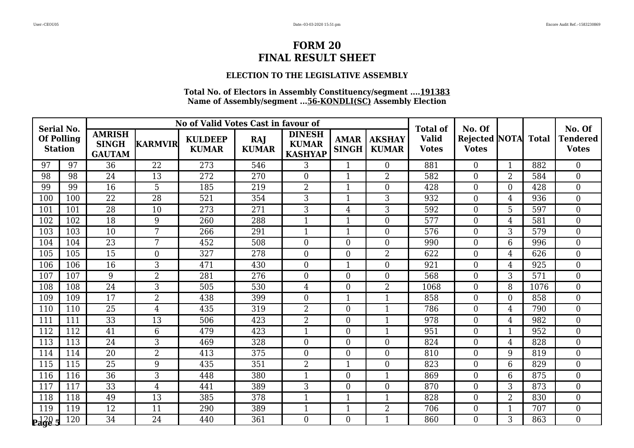## **ELECTION TO THE LEGISLATIVE ASSEMBLY**

| <b>Serial No.</b>                   |     |                                                |                 | No of Valid Votes Cast in favour of |                            |                                                 |                             |                               | <b>Total of</b>              |                  | No. Of<br><b>Rejected NOTA</b><br><b>Total</b><br>882<br>$\overline{0}$<br>$\mathbf{1}$<br>$\boldsymbol{0}$<br>2<br>584<br>$\overline{0}$<br>$\mathbf{0}$<br>428<br>$\overline{0}$<br>936<br>4 |      |                                           |  |  |
|-------------------------------------|-----|------------------------------------------------|-----------------|-------------------------------------|----------------------------|-------------------------------------------------|-----------------------------|-------------------------------|------------------------------|------------------|------------------------------------------------------------------------------------------------------------------------------------------------------------------------------------------------|------|-------------------------------------------|--|--|
| <b>Of Polling</b><br><b>Station</b> |     | <b>AMRISH</b><br><b>SINGH</b><br><b>GAUTAM</b> | <b>KARMVIR</b>  | <b>KULDEEP</b><br><b>KUMAR</b>      | <b>RAJ</b><br><b>KUMAR</b> | <b>DINESH</b><br><b>KUMAR</b><br><b>KASHYAP</b> | <b>AMAR</b><br><b>SINGH</b> | <b>AKSHAY</b><br><b>KUMAR</b> | <b>Valid</b><br><b>Votes</b> | <b>Votes</b>     |                                                                                                                                                                                                |      | No. Of<br><b>Tendered</b><br><b>Votes</b> |  |  |
| 97                                  | 97  | 36                                             | 22              | 273                                 | 546                        | 3                                               | $\mathbf{1}$                | $\theta$                      | 881                          |                  |                                                                                                                                                                                                |      | $\theta$                                  |  |  |
| 98                                  | 98  | 24                                             | 13              | 272                                 | 270                        | $\Omega$                                        | 1                           | $\overline{2}$                | 582                          |                  |                                                                                                                                                                                                |      | $\mathbf{0}$                              |  |  |
| 99                                  | 99  | 16                                             | $\overline{5}$  | 185                                 | 219                        | $\overline{2}$                                  | 1                           | $\boldsymbol{0}$              | 428                          |                  |                                                                                                                                                                                                |      | $\mathbf 0$                               |  |  |
| 100                                 | 100 | 22                                             | 28              | 521                                 | 354                        | 3                                               | 1                           | 3                             | 932                          |                  |                                                                                                                                                                                                |      | $\boldsymbol{0}$                          |  |  |
| 101                                 | 101 | $\overline{28}$                                | 10              | 273                                 | 271                        | 3                                               | $\overline{4}$              | 3                             | 592                          | $\overline{0}$   | 5                                                                                                                                                                                              | 597  | $\overline{0}$                            |  |  |
| 102                                 | 102 | 18                                             | 9               | 260                                 | 288                        | $\mathbf{1}$                                    | 1                           | $\overline{0}$                | 577                          | $\overline{0}$   | $\overline{4}$                                                                                                                                                                                 | 581  | $\mathbf 0$                               |  |  |
| 103                                 | 103 | 10                                             | $7\phantom{.0}$ | 266                                 | 291                        | $\mathbf{1}$                                    | 1                           | $\overline{0}$                | 576                          | $\overline{0}$   | 3                                                                                                                                                                                              | 579  | $\overline{0}$                            |  |  |
| 104                                 | 104 | 23                                             | 7               | 452                                 | 508                        | $\Omega$                                        | $\overline{0}$              | $\overline{0}$                | 990                          | $\overline{0}$   | 6                                                                                                                                                                                              | 996  | $\overline{0}$                            |  |  |
| 105                                 | 105 | 15                                             | $\overline{0}$  | 327                                 | 278                        | $\overline{0}$                                  | $\boldsymbol{0}$            | $\overline{2}$                | 622                          | $\overline{0}$   | $\overline{4}$                                                                                                                                                                                 | 626  | $\boldsymbol{0}$                          |  |  |
| 106                                 | 106 | 16                                             | 3               | 471                                 | 430                        | $\Omega$                                        | $\mathbf{1}$                | $\theta$                      | 921                          | $\overline{0}$   | $\overline{4}$                                                                                                                                                                                 | 925  | $\overline{0}$                            |  |  |
| 107                                 | 107 | 9                                              | $\overline{2}$  | 281                                 | 276                        | $\Omega$                                        | $\theta$                    | $\overline{0}$                | 568                          | $\boldsymbol{0}$ | 3                                                                                                                                                                                              | 571  | $\overline{0}$                            |  |  |
| 108                                 | 108 | 24                                             | 3               | 505                                 | 530                        | 4                                               | $\overline{0}$              | $\overline{2}$                | 1068                         | $\boldsymbol{0}$ | 8                                                                                                                                                                                              | 1076 | $\overline{0}$                            |  |  |
| 109                                 | 109 | 17                                             | $\overline{2}$  | 438                                 | 399                        | $\overline{0}$                                  | $\mathbf{1}$                | $\mathbf{1}$                  | 858                          | $\overline{0}$   | $\mathbf{0}$                                                                                                                                                                                   | 858  | $\boldsymbol{0}$                          |  |  |
| 110                                 | 110 | 25                                             | $\overline{4}$  | 435                                 | 319                        | $\overline{2}$                                  | $\mathbf{0}$                | $\mathbf{1}$                  | 786                          | $\overline{0}$   | $\overline{4}$                                                                                                                                                                                 | 790  | $\overline{0}$                            |  |  |
| 111                                 | 111 | 33                                             | 13              | 506                                 | 423                        | $\overline{2}$                                  | $\overline{0}$              | $\mathbf{1}$                  | 978                          | $\boldsymbol{0}$ | 4                                                                                                                                                                                              | 982  | $\overline{0}$                            |  |  |
| 112                                 | 112 | 41                                             | $6\phantom{.}6$ | 479                                 | 423                        | 1                                               | $\overline{0}$              | 1                             | 951                          | $\overline{0}$   | 1                                                                                                                                                                                              | 952  | $\overline{0}$                            |  |  |
| 113                                 | 113 | 24                                             | 3               | 469                                 | 328                        | $\Omega$                                        | $\overline{0}$              | $\boldsymbol{0}$              | 824                          | $\overline{0}$   | $\overline{4}$                                                                                                                                                                                 | 828  | $\overline{0}$                            |  |  |
| 114                                 | 114 | $\overline{20}$                                | $\overline{2}$  | 413                                 | 375                        | $\Omega$                                        | $\overline{0}$              | $\overline{0}$                | 810                          | $\overline{0}$   | 9                                                                                                                                                                                              | 819  | $\theta$                                  |  |  |
| 115                                 | 115 | 25                                             | 9               | 435                                 | 351                        | $\overline{2}$                                  | 1                           | $\overline{0}$                | 823                          | $\overline{0}$   | 6                                                                                                                                                                                              | 829  | $\overline{0}$                            |  |  |
| 116                                 | 116 | 36                                             | 3               | 448                                 | 380                        | 1                                               | $\overline{0}$              | $\mathbf{1}$                  | 869                          | $\overline{0}$   | 6                                                                                                                                                                                              | 875  | $\mathbf{0}$                              |  |  |
| 117                                 | 117 | 33                                             | $\overline{4}$  | 441                                 | 389                        | 3                                               | $\theta$                    | $\overline{0}$                | 870                          | $\overline{0}$   | 3                                                                                                                                                                                              | 873  | $\theta$                                  |  |  |
| 118                                 | 118 | 49                                             | 13              | 385                                 | 378                        | 1                                               | 1                           | 1                             | 828                          | $\overline{0}$   | 2                                                                                                                                                                                              | 830  | $\mathbf{0}$                              |  |  |
| 119                                 | 119 | 12                                             | 11              | 290                                 | 389                        | $\mathbf{1}$                                    | $\mathbf{1}$                | $\overline{2}$                | 706                          | $\overline{0}$   | $\mathbf{1}$                                                                                                                                                                                   | 707  | $\boldsymbol{0}$                          |  |  |
| $\frac{120}{2}$                     | 120 | 34                                             | 24              | 440                                 | 361                        | $\Omega$                                        | $\Omega$                    | $\mathbf{1}$                  | 860                          | $\overline{0}$   | 3                                                                                                                                                                                              | 863  | $\Omega$                                  |  |  |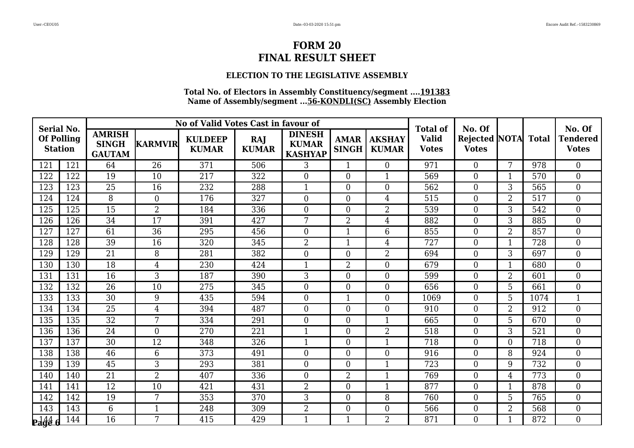## **ELECTION TO THE LEGISLATIVE ASSEMBLY**

| <b>Serial No.</b>                                               |     |                                                |                 | No of Valid Votes Cast in favour of |                            |                                                 |                             |                               | <b>Total of</b>              | No. Of                               |                |              | No. Of                          |
|-----------------------------------------------------------------|-----|------------------------------------------------|-----------------|-------------------------------------|----------------------------|-------------------------------------------------|-----------------------------|-------------------------------|------------------------------|--------------------------------------|----------------|--------------|---------------------------------|
| <b>Of Polling</b><br><b>Station</b>                             |     | <b>AMRISH</b><br><b>SINGH</b><br><b>GAUTAM</b> | <b>KARMVIR</b>  | <b>KULDEEP</b><br><b>KUMAR</b>      | <b>RAJ</b><br><b>KUMAR</b> | <b>DINESH</b><br><b>KUMAR</b><br><b>KASHYAP</b> | <b>AMAR</b><br><b>SINGH</b> | <b>AKSHAY</b><br><b>KUMAR</b> | <b>Valid</b><br><b>Votes</b> | <b>Rejected NOTA</b><br><b>Votes</b> |                | <b>Total</b> | <b>Tendered</b><br><b>Votes</b> |
| 121                                                             | 121 | 64                                             | 26              | 371                                 | 506                        | 3                                               | $\mathbf{1}$                | $\overline{0}$                | 971                          | $\overline{0}$                       | 7              | 978          | $\theta$                        |
| 122                                                             | 122 | 19                                             | 10              | 217                                 | 322                        | $\overline{0}$                                  | $\overline{0}$              |                               | 569                          | $\boldsymbol{0}$                     |                | 570          | $\overline{0}$                  |
| 123                                                             | 123 | 25                                             | 16              | 232                                 | 288                        | $\mathbf{1}$                                    | $\overline{0}$              | $\boldsymbol{0}$              | 562                          | $\overline{0}$                       | 3              | 565          | $\boldsymbol{0}$                |
| 124                                                             | 124 | 8                                              | $\overline{0}$  | 176                                 | 327                        | $\overline{0}$                                  | $\overline{0}$              | $\overline{4}$                | 515                          | $\boldsymbol{0}$                     | $\overline{2}$ | 517          | $\mathbf{0}$                    |
| 125                                                             | 125 | $\overline{15}$                                | $\overline{2}$  | 184                                 | 336                        | $\overline{0}$                                  | $\overline{0}$              | $\overline{2}$                | 539                          | $\boldsymbol{0}$                     | 3              | 542          | $\overline{0}$                  |
| 126                                                             | 126 | 34                                             | $\overline{17}$ | 391                                 | 427                        | 7                                               | $\overline{2}$              | $\overline{4}$                | 882                          | $\overline{0}$                       | 3              | 885          | $\mathbf{0}$                    |
| 127                                                             | 127 | 61                                             | 36              | 295                                 | 456                        | $\overline{0}$                                  | 1                           | 6                             | 855                          | $\boldsymbol{0}$                     | $\overline{2}$ | 857          | $\overline{0}$                  |
| 128                                                             | 128 | 39                                             | 16              | 320                                 | 345                        | $\overline{2}$                                  | 1                           | $\overline{4}$                | 727                          | $\boldsymbol{0}$                     | 1              | 728          | $\boldsymbol{0}$                |
| 129                                                             | 129 | 21                                             | 8               | 281                                 | 382                        | $\boldsymbol{0}$                                | $\overline{0}$              | $\overline{2}$                | 694                          | $\boldsymbol{0}$                     | 3              | 697          | $\mathbf{0}$                    |
| 130                                                             | 130 | 18                                             | $\overline{4}$  | 230                                 | 424                        | $\mathbf{1}$                                    | $\overline{2}$              | $\theta$                      | 679                          | $\overline{0}$                       | 1              | 680          | $\overline{0}$                  |
| 131                                                             | 131 | 16                                             | 3               | 187                                 | 390                        | 3                                               | $\theta$                    | $\overline{0}$                | 599                          | $\overline{0}$                       | $\overline{2}$ | 601          | $\mathbf{0}$                    |
| 132                                                             | 132 | 26                                             | 10              | 275                                 | 345                        | $\overline{0}$                                  | $\overline{0}$              | $\boldsymbol{0}$              | 656                          | $\overline{0}$                       | 5              | 661          | $\overline{0}$                  |
| 133                                                             | 133 | 30                                             | 9               | 435                                 | 594                        | $\boldsymbol{0}$                                | $\mathbf{1}$                | $\overline{0}$                | 1069                         | $\boldsymbol{0}$                     | 5              | 1074         | $\mathbf{1}$                    |
| 134                                                             | 134 | 25                                             | $\overline{4}$  | 394                                 | 487                        | $\overline{0}$                                  | $\overline{0}$              | $\overline{0}$                | 910                          | $\overline{0}$                       | $\overline{2}$ | 912          | $\overline{0}$                  |
| 135                                                             | 135 | $\overline{32}$                                | 7               | 334                                 | 291                        | $\overline{0}$                                  | $\theta$                    | $\mathbf{1}$                  | 665                          | $\overline{0}$                       | 5              | 670          | $\overline{0}$                  |
| 136                                                             | 136 | 24                                             | $\overline{0}$  | 270                                 | 221                        | 1                                               | $\overline{0}$              | $\overline{2}$                | 518                          | $\boldsymbol{0}$                     | 3              | 521          | $\boldsymbol{0}$                |
| 137                                                             | 137 | 30                                             | 12              | 348                                 | 326                        | 1                                               | $\overline{0}$              | $\mathbf{1}$                  | 718                          | $\overline{0}$                       | $\theta$       | 718          | $\boldsymbol{0}$                |
| 138                                                             | 138 | 46                                             | 6               | 373                                 | 491                        | $\overline{0}$                                  | $\overline{0}$              | $\overline{0}$                | 916                          | $\overline{0}$                       | 8              | 924          | $\overline{0}$                  |
| 139                                                             | 139 | 45                                             | 3               | 293                                 | 381                        | $\overline{0}$                                  | $\Omega$                    | $\mathbf{1}$                  | 723                          | $\overline{0}$                       | 9              | 732          | $\overline{0}$                  |
| 140                                                             | 140 | 21                                             | $\overline{2}$  | 407                                 | 336                        | $\overline{0}$                                  | $\overline{2}$              | $\mathbf{1}$                  | 769                          | $\overline{0}$                       | $\overline{4}$ | 773          | $\boldsymbol{0}$                |
| 141                                                             | 141 | 12                                             | 10              | 421                                 | 431                        | $\overline{2}$                                  | $\overline{0}$              | $\mathbf{1}$                  | 877                          | $\overline{0}$                       | $\mathbf{1}$   | 878          | $\overline{0}$                  |
| 142                                                             | 142 | 19                                             | 7               | 353                                 | 370                        | 3                                               | $\overline{0}$              | 8                             | 760                          | $\boldsymbol{0}$                     | 5              | 765          | $\mathbf{0}$                    |
| $14\overline{3}$                                                | 143 | 6                                              | $\mathbf{1}$    | 248                                 | 309                        | $\overline{2}$                                  | $\boldsymbol{0}$            | $\boldsymbol{0}$              | 566                          | $\boldsymbol{0}$                     | $\overline{2}$ | 568          | $\mathbf{0}$                    |
| $P_{\text{a}}\overset{144}{\phantom{1}\phantom{1}\phantom{1}}6$ | 144 | $\overline{16}$                                | 7               | 415                                 | 429                        | 1                                               | $\mathbf{1}$                | $\overline{2}$                | 871                          | $\overline{0}$                       | $\mathbf{1}$   | 872          | $\overline{0}$                  |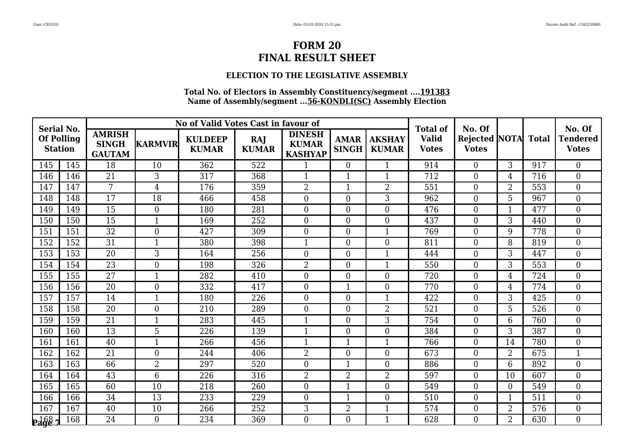## **ELECTION TO THE LEGISLATIVE ASSEMBLY**

| <b>Serial No.</b> |                   |                                                |                | No of Valid Votes Cast in favour of |                            |                                                 |                             |                               | <b>Total of</b>              | No. Of                                     |                |     | No. Of                          |
|-------------------|-------------------|------------------------------------------------|----------------|-------------------------------------|----------------------------|-------------------------------------------------|-----------------------------|-------------------------------|------------------------------|--------------------------------------------|----------------|-----|---------------------------------|
| <b>Station</b>    | <b>Of Polling</b> | <b>AMRISH</b><br><b>SINGH</b><br><b>GAUTAM</b> | <b>KARMVIR</b> | <b>KULDEEP</b><br><b>KUMAR</b>      | <b>RAJ</b><br><b>KUMAR</b> | <b>DINESH</b><br><b>KUMAR</b><br><b>KASHYAP</b> | <b>AMAR</b><br><b>SINGH</b> | <b>AKSHAY</b><br><b>KUMAR</b> | <b>Valid</b><br><b>Votes</b> | <b>Rejected NOTA</b> Total<br><b>Votes</b> |                |     | <b>Tendered</b><br><b>Votes</b> |
| 145               | 145               | 18                                             | 10             | 362                                 | 522                        |                                                 | $\Omega$                    | $\mathbf{1}$                  | 914                          | $\overline{0}$                             | 3              | 917 | $\theta$                        |
| 146               | 146               | 21                                             | 3              | 317                                 | 368                        | 1                                               | $\mathbf{1}$                | $\mathbf{1}$                  | 712                          | $\overline{0}$                             | 4              | 716 | $\overline{0}$                  |
| 147               | 147               | $\overline{7}$                                 | $\overline{4}$ | 176                                 | 359                        | $\overline{2}$                                  | $\mathbf{1}$                | $\overline{2}$                | 551                          | $\boldsymbol{0}$                           | $\overline{2}$ | 553 | $\overline{0}$                  |
| 148               | 148               | 17                                             | 18             | 466                                 | 458                        | $\overline{0}$                                  | $\overline{0}$              | $\overline{3}$                | 962                          | $\overline{0}$                             | 5              | 967 | $\overline{0}$                  |
| 149               | 149               | 15                                             | $\overline{0}$ | 180                                 | 281                        | $\overline{0}$                                  | $\overline{0}$              | $\overline{0}$                | 476                          | $\overline{0}$                             | $\mathbf 1$    | 477 | $\overline{0}$                  |
| 150               | 150               | 15                                             | $\mathbf{1}$   | 169                                 | 252                        | $\overline{0}$                                  | $\overline{0}$              | $\boldsymbol{0}$              | 437                          | $\boldsymbol{0}$                           | 3              | 440 | $\overline{0}$                  |
| 151               | 151               | 32                                             | $\overline{0}$ | 427                                 | 309                        | $\overline{0}$                                  | $\overline{0}$              | $\mathbf{1}$                  | 769                          | $\boldsymbol{0}$                           | 9              | 778 | $\overline{0}$                  |
| 152               | 152               | $\overline{31}$                                | $\mathbf{1}$   | 380                                 | 398                        |                                                 | $\theta$                    | $\overline{0}$                | 811                          | $\overline{0}$                             | 8              | 819 | $\overline{0}$                  |
| 153               | 153               | $\overline{20}$                                | $\overline{3}$ | 164                                 | 256                        | $\overline{0}$                                  | $\overline{0}$              | $\mathbf{1}$                  | 444                          | $\overline{0}$                             | 3              | 447 | $\overline{0}$                  |
| 154               | 154               | 23                                             | $\overline{0}$ | 198                                 | 326                        | $\overline{2}$                                  | $\overline{0}$              | $\mathbf{1}$                  | 550                          | $\boldsymbol{0}$                           | 3              | 553 | $\overline{0}$                  |
| 155               | 155               | 27                                             | $\mathbf{1}$   | 282                                 | 410                        | $\overline{0}$                                  | $\overline{0}$              | $\boldsymbol{0}$              | 720                          | $\boldsymbol{0}$                           | $\overline{4}$ | 724 | $\overline{0}$                  |
| 156               | 156               | 20                                             | $\overline{0}$ | 332                                 | 417                        | $\overline{0}$                                  | $\overline{1}$              | $\theta$                      | 770                          | $\overline{0}$                             | 4              | 774 | $\theta$                        |
| 157               | 157               | 14                                             | $\mathbf{1}$   | 180                                 | 226                        | $\overline{0}$                                  | $\overline{0}$              | $\mathbf{1}$                  | 422                          | $\overline{0}$                             | 3              | 425 | $\overline{0}$                  |
| 158               | 158               | 20                                             | $\overline{0}$ | 210                                 | 289                        | $\overline{0}$                                  | $\overline{0}$              | $\overline{2}$                | 521                          | $\boldsymbol{0}$                           | 5              | 526 | $\overline{0}$                  |
| 159               | 159               | 21                                             | $\mathbf{1}$   | 283                                 | 445                        | $\mathbf{1}$                                    | $\overline{0}$              | 3                             | 754                          | $\overline{0}$                             | 6              | 760 | $\overline{0}$                  |
| 160               | 160               | 13                                             | 5              | 226                                 | 139                        |                                                 | $\overline{0}$              | $\overline{0}$                | 384                          | $\overline{0}$                             | 3              | 387 | $\overline{0}$                  |
| 161               | 161               | 40                                             | $\mathbf{1}$   | 266                                 | 456                        | $\mathbf{1}$                                    | $\mathbf{1}$                | $\mathbf{1}$                  | 766                          | $\overline{0}$                             | 14             | 780 | $\overline{0}$                  |
| 162               | 162               | $\overline{21}$                                | $\overline{0}$ | 244                                 | 406                        | $\overline{2}$                                  | $\overline{0}$              | $\overline{0}$                | 673                          | $\overline{0}$                             | $\overline{2}$ | 675 | $\mathbf{1}$                    |
| 163               | 163               | 66                                             | $\overline{2}$ | 297                                 | 520                        | $\overline{0}$                                  | $\mathbf{1}$                | $\overline{0}$                | 886                          | $\boldsymbol{0}$                           | 6              | 892 | $\overline{0}$                  |
| 164               | 164               | 43                                             | 6              | 226                                 | 316                        | $\overline{2}$                                  | $\overline{2}$              | $\overline{2}$                | 597                          | $\overline{0}$                             | 10             | 607 | $\overline{0}$                  |
| 165               | 165               | 60                                             | 10             | 218                                 | 260                        | $\overline{0}$                                  | $\mathbf{1}$                | $\overline{0}$                | 549                          | $\overline{0}$                             | $\theta$       | 549 | $\overline{0}$                  |
| 166               | 166               | 34                                             | 13             | 233                                 | 229                        | $\overline{0}$                                  | $\mathbf 1$                 | $\overline{0}$                | 510                          | $\boldsymbol{0}$                           |                | 511 | $\overline{0}$                  |
| 167               | 167               | 40                                             | 10             | 266                                 | 252                        | 3                                               | $\overline{2}$              | $\mathbf{1}$                  | 574                          | $\overline{0}$                             | $\overline{2}$ | 576 | $\overline{0}$                  |
| $\frac{168}{2}$   | 168               | $\overline{24}$                                | $\Omega$       | 234                                 | 369                        | $\Omega$                                        | $\overline{0}$              | $\mathbf{1}$                  | 628                          | $\Omega$                                   | $\overline{2}$ | 630 | $\Omega$                        |